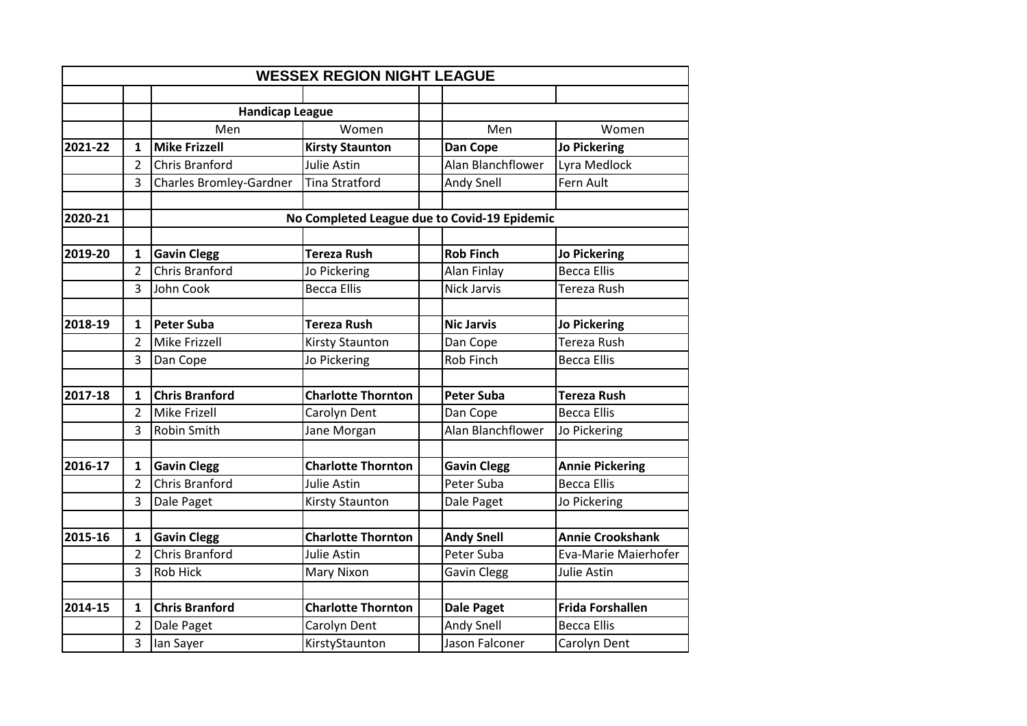|         |                |                                | <b>WESSEX REGION NIGHT LEAGUE</b> |                                              |                         |
|---------|----------------|--------------------------------|-----------------------------------|----------------------------------------------|-------------------------|
|         |                |                                |                                   |                                              |                         |
|         |                | <b>Handicap League</b>         |                                   |                                              |                         |
|         |                | Men                            | Women                             | Men                                          | Women                   |
| 2021-22 | $\mathbf{1}$   | <b>Mike Frizzell</b>           | <b>Kirsty Staunton</b>            | <b>Dan Cope</b>                              | <b>Jo Pickering</b>     |
|         | $\overline{2}$ | <b>Chris Branford</b>          | Julie Astin                       | Alan Blanchflower                            | Lyra Medlock            |
|         | 3              | <b>Charles Bromley-Gardner</b> | <b>Tina Stratford</b>             | Andy Snell                                   | Fern Ault               |
|         |                |                                |                                   |                                              |                         |
| 2020-21 |                |                                |                                   | No Completed League due to Covid-19 Epidemic |                         |
|         |                |                                |                                   |                                              |                         |
| 2019-20 | 1              | <b>Gavin Clegg</b>             | <b>Tereza Rush</b>                | <b>Rob Finch</b>                             | <b>Jo Pickering</b>     |
|         | $\overline{2}$ | <b>Chris Branford</b>          | Jo Pickering                      | Alan Finlay                                  | <b>Becca Ellis</b>      |
|         | 3              | John Cook                      | <b>Becca Ellis</b>                | <b>Nick Jarvis</b>                           | <b>Tereza Rush</b>      |
|         |                |                                |                                   |                                              |                         |
| 2018-19 | 1              | <b>Peter Suba</b>              | <b>Tereza Rush</b>                | <b>Nic Jarvis</b>                            | <b>Jo Pickering</b>     |
|         | $\overline{2}$ | <b>Mike Frizzell</b>           | <b>Kirsty Staunton</b>            | Dan Cope                                     | <b>Tereza Rush</b>      |
|         | 3              | Dan Cope                       | Jo Pickering                      | <b>Rob Finch</b>                             | <b>Becca Ellis</b>      |
|         |                |                                |                                   |                                              |                         |
| 2017-18 | $\mathbf{1}$   | <b>Chris Branford</b>          | <b>Charlotte Thornton</b>         | <b>Peter Suba</b>                            | <b>Tereza Rush</b>      |
|         | $\overline{2}$ | Mike Frizell                   | Carolyn Dent                      | Dan Cope                                     | <b>Becca Ellis</b>      |
|         | 3              | Robin Smith                    | Jane Morgan                       | Alan Blanchflower                            | Jo Pickering            |
|         |                |                                |                                   |                                              |                         |
| 2016-17 | $\mathbf{1}$   | <b>Gavin Clegg</b>             | <b>Charlotte Thornton</b>         | <b>Gavin Clegg</b>                           | <b>Annie Pickering</b>  |
|         | $\overline{2}$ | <b>Chris Branford</b>          | Julie Astin                       | Peter Suba                                   | <b>Becca Ellis</b>      |
|         | 3              | Dale Paget                     | Kirsty Staunton                   | Dale Paget                                   | Jo Pickering            |
|         |                |                                |                                   |                                              |                         |
| 2015-16 | 1              | <b>Gavin Clegg</b>             | <b>Charlotte Thornton</b>         | <b>Andy Snell</b>                            | <b>Annie Crookshank</b> |
|         | $\overline{2}$ | <b>Chris Branford</b>          | Julie Astin                       | Peter Suba                                   | Eva-Marie Maierhofer    |
|         | 3              | <b>Rob Hick</b>                | Mary Nixon                        | <b>Gavin Clegg</b>                           | Julie Astin             |
|         |                |                                |                                   |                                              |                         |
| 2014-15 | $\mathbf{1}$   | <b>Chris Branford</b>          | <b>Charlotte Thornton</b>         | <b>Dale Paget</b>                            | <b>Frida Forshallen</b> |
|         | 2              | Dale Paget                     | Carolyn Dent                      | Andy Snell                                   | <b>Becca Ellis</b>      |
|         | 3              | lan Sayer                      | KirstyStaunton                    | Jason Falconer                               | Carolyn Dent            |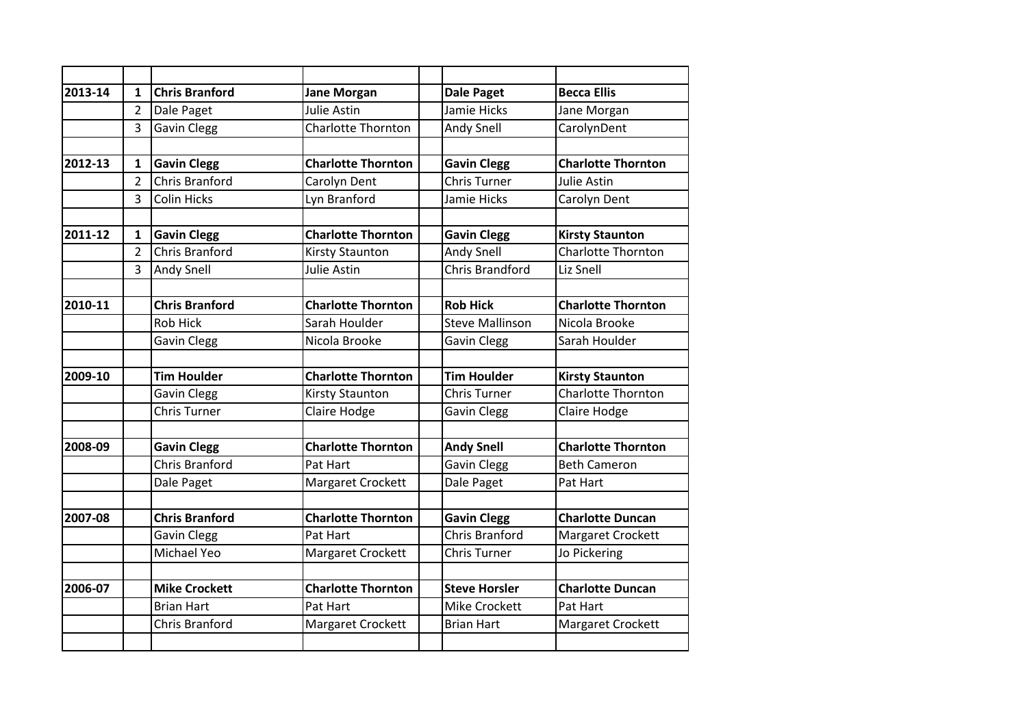| 2013-14 | $\mathbf{1}$   | <b>Chris Branford</b> | <b>Jane Morgan</b>        | <b>Dale Paget</b>      | <b>Becca Ellis</b>        |
|---------|----------------|-----------------------|---------------------------|------------------------|---------------------------|
|         | $\overline{2}$ | Dale Paget            | Julie Astin               | Jamie Hicks            | Jane Morgan               |
|         | 3              | <b>Gavin Clegg</b>    | <b>Charlotte Thornton</b> | Andy Snell             | CarolynDent               |
|         |                |                       |                           |                        |                           |
| 2012-13 | $\mathbf{1}$   | <b>Gavin Clegg</b>    | <b>Charlotte Thornton</b> | <b>Gavin Clegg</b>     | <b>Charlotte Thornton</b> |
|         | $\overline{2}$ | <b>Chris Branford</b> | Carolyn Dent              | <b>Chris Turner</b>    | Julie Astin               |
|         | 3              | <b>Colin Hicks</b>    | Lyn Branford              | Jamie Hicks            | Carolyn Dent              |
|         |                |                       |                           |                        |                           |
| 2011-12 | 1              | <b>Gavin Clegg</b>    | <b>Charlotte Thornton</b> | <b>Gavin Clegg</b>     | <b>Kirsty Staunton</b>    |
|         | $\overline{2}$ | <b>Chris Branford</b> | <b>Kirsty Staunton</b>    | Andy Snell             | <b>Charlotte Thornton</b> |
|         | 3              | Andy Snell            | Julie Astin               | <b>Chris Brandford</b> | Liz Snell                 |
|         |                |                       |                           |                        |                           |
| 2010-11 |                | <b>Chris Branford</b> | <b>Charlotte Thornton</b> | <b>Rob Hick</b>        | <b>Charlotte Thornton</b> |
|         |                | <b>Rob Hick</b>       | Sarah Houlder             | <b>Steve Mallinson</b> | Nicola Brooke             |
|         |                | <b>Gavin Clegg</b>    | Nicola Brooke             | <b>Gavin Clegg</b>     | Sarah Houlder             |
|         |                |                       |                           |                        |                           |
| 2009-10 |                | <b>Tim Houlder</b>    | <b>Charlotte Thornton</b> | <b>Tim Houlder</b>     | <b>Kirsty Staunton</b>    |
|         |                | <b>Gavin Clegg</b>    | <b>Kirsty Staunton</b>    | <b>Chris Turner</b>    | <b>Charlotte Thornton</b> |
|         |                | <b>Chris Turner</b>   | Claire Hodge              | <b>Gavin Clegg</b>     | Claire Hodge              |
|         |                |                       |                           |                        |                           |
| 2008-09 |                | <b>Gavin Clegg</b>    | <b>Charlotte Thornton</b> | <b>Andy Snell</b>      | <b>Charlotte Thornton</b> |
|         |                | <b>Chris Branford</b> | Pat Hart                  | <b>Gavin Clegg</b>     | <b>Beth Cameron</b>       |
|         |                | Dale Paget            | Margaret Crockett         | Dale Paget             | Pat Hart                  |
|         |                |                       |                           |                        |                           |
| 2007-08 |                | <b>Chris Branford</b> | <b>Charlotte Thornton</b> | <b>Gavin Clegg</b>     | <b>Charlotte Duncan</b>   |
|         |                | <b>Gavin Clegg</b>    | Pat Hart                  | <b>Chris Branford</b>  | Margaret Crockett         |
|         |                | Michael Yeo           | Margaret Crockett         | <b>Chris Turner</b>    | Jo Pickering              |
|         |                |                       |                           |                        |                           |
| 2006-07 |                | <b>Mike Crockett</b>  | <b>Charlotte Thornton</b> | <b>Steve Horsler</b>   | <b>Charlotte Duncan</b>   |
|         |                | <b>Brian Hart</b>     | Pat Hart                  | <b>Mike Crockett</b>   | Pat Hart                  |
|         |                | <b>Chris Branford</b> | Margaret Crockett         | <b>Brian Hart</b>      | Margaret Crockett         |
|         |                |                       |                           |                        |                           |
|         |                |                       |                           |                        |                           |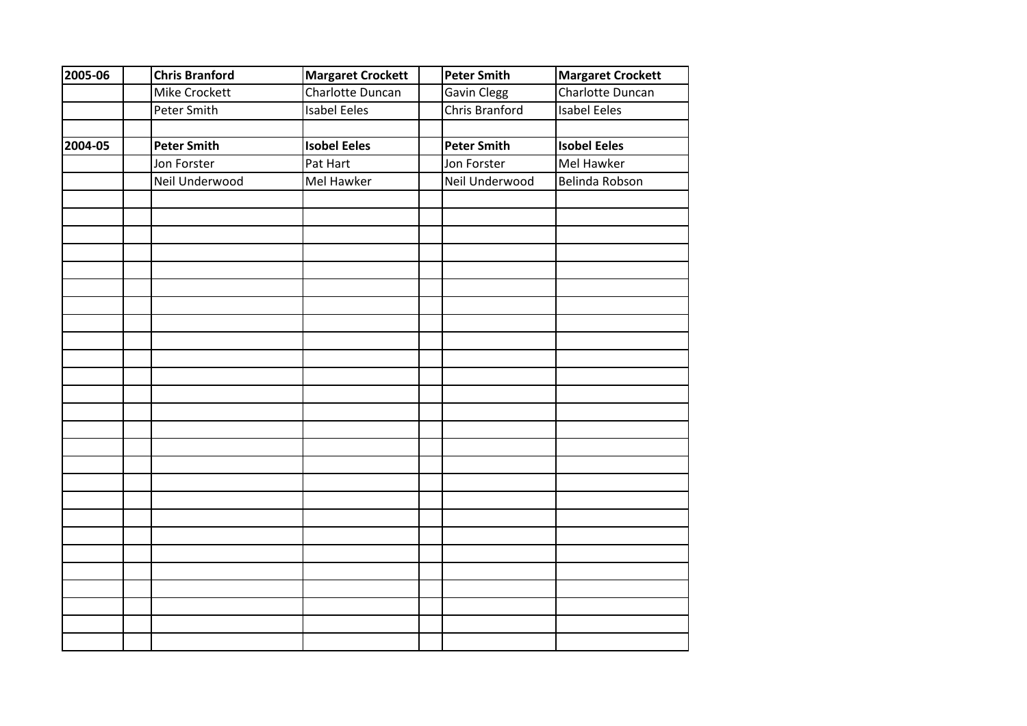| 2005-06 | <b>Chris Branford</b> | <b>Margaret Crockett</b> | <b>Peter Smith</b> | <b>Margaret Crockett</b> |
|---------|-----------------------|--------------------------|--------------------|--------------------------|
|         | Mike Crockett         | Charlotte Duncan         | <b>Gavin Clegg</b> | Charlotte Duncan         |
|         | Peter Smith           | <b>Isabel Eeles</b>      | Chris Branford     | <b>Isabel Eeles</b>      |
|         |                       |                          |                    |                          |
| 2004-05 | <b>Peter Smith</b>    | <b>Isobel Eeles</b>      | <b>Peter Smith</b> | <b>Isobel Eeles</b>      |
|         | Jon Forster           | Pat Hart                 | Jon Forster        | <b>Mel Hawker</b>        |
|         | Neil Underwood        | Mel Hawker               | Neil Underwood     | Belinda Robson           |
|         |                       |                          |                    |                          |
|         |                       |                          |                    |                          |
|         |                       |                          |                    |                          |
|         |                       |                          |                    |                          |
|         |                       |                          |                    |                          |
|         |                       |                          |                    |                          |
|         |                       |                          |                    |                          |
|         |                       |                          |                    |                          |
|         |                       |                          |                    |                          |
|         |                       |                          |                    |                          |
|         |                       |                          |                    |                          |
|         |                       |                          |                    |                          |
|         |                       |                          |                    |                          |
|         |                       |                          |                    |                          |
|         |                       |                          |                    |                          |
|         |                       |                          |                    |                          |
|         |                       |                          |                    |                          |
|         |                       |                          |                    |                          |
|         |                       |                          |                    |                          |
|         |                       |                          |                    |                          |
|         |                       |                          |                    |                          |
|         |                       |                          |                    |                          |
|         |                       |                          |                    |                          |
|         |                       |                          |                    |                          |
|         |                       |                          |                    |                          |
|         |                       |                          |                    |                          |
|         |                       |                          |                    |                          |